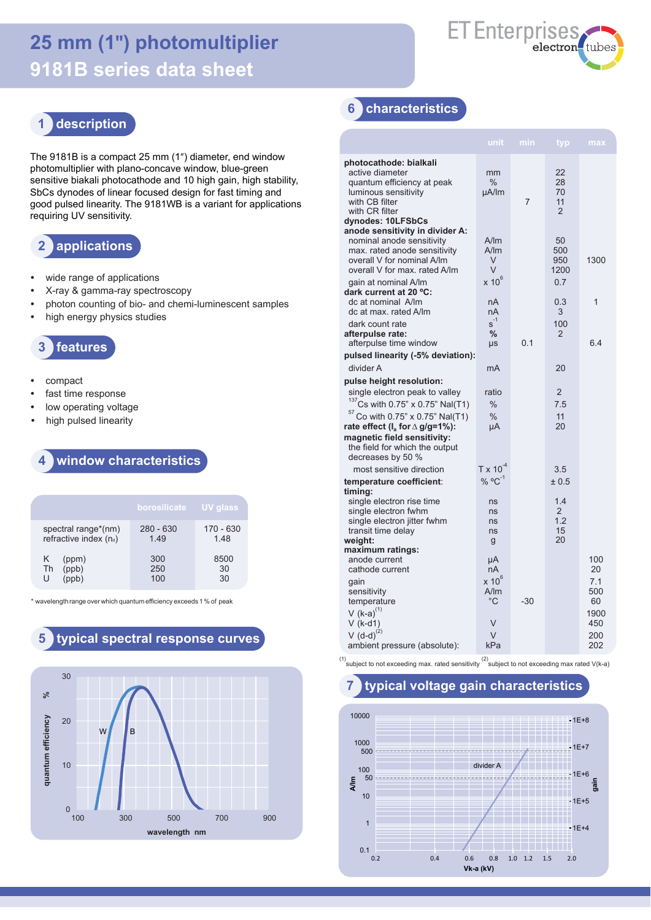# **25 mm (1") photomultiplier 9181B series data sheet**



# **1 description**

The 9181B is a compact 25 mm (1") diameter, end window photomultiplier with plano-concave window, blue-green sensitive biakali photocathode and 10 high gain, high stability, SbCs dynodes of linear focused design for fast timing and good pulsed linearity. The 9181WB is a variant for applications requiring UV sensitivity.

## **2 applications**

- **•** wide range of applications
- **•** X-ray & gamma-ray spectroscopy
- **•** photon counting of bio- and chemi-luminescent samples
- **•** high energy physics studies



- **•** compact
- **•** fast time response
- **•** low operating voltage
- **•** high pulsed linearity

#### **4 window characteristics**

|                                              | borosilicate       | <b>UV glass</b>     |
|----------------------------------------------|--------------------|---------------------|
| spectral range*(nm)<br>refractive index (nd) | $280 - 630$<br>149 | $170 - 630$<br>1.48 |
| (ppm)<br>Κ<br>(ppb)<br>Th<br>U               | 300<br>250<br>100  | 8500<br>30<br>30    |

wavelength range over which quantum efficiency exceeds 1 % of peak



### **6 characteristics**

|                                                                                                                                                                                                                                                                               | unit                                                      | min | typ                                               | max                                           |
|-------------------------------------------------------------------------------------------------------------------------------------------------------------------------------------------------------------------------------------------------------------------------------|-----------------------------------------------------------|-----|---------------------------------------------------|-----------------------------------------------|
| photocathode: bialkali<br>active diameter<br>quantum efficiency at peak<br>luminous sensitivity<br>with CB filter<br>with CR filter<br>dynodes: 10LFSbCs                                                                                                                      | mm<br>$\%$<br>µA/lm                                       | 7   | 22<br>28<br>70<br>11<br>$\mathcal{P}$             |                                               |
| anode sensitivity in divider A:<br>nominal anode sensitivity<br>max. rated anode sensitivity<br>overall V for nominal A/Im<br>overall V for max. rated A/Im<br>gain at nominal A/Im                                                                                           | A/m<br>A/Im<br>V<br>V<br>$x 10^6$                         |     | 50<br>500<br>950<br>1200<br>0.7                   | 1300                                          |
| dark current at 20 °C:<br>dc at nominal A/Im<br>dc at max, rated A/Im                                                                                                                                                                                                         | nA<br>nA                                                  |     | 0.3<br>3                                          | 1                                             |
| dark count rate<br>afterpulse rate:<br>afterpulse time window                                                                                                                                                                                                                 | $s^{-1}$<br>$\%$<br>μs                                    | 0.1 | 100<br>$\overline{2}$                             | 6.4                                           |
| pulsed linearity (-5% deviation):<br>divider A                                                                                                                                                                                                                                | mA                                                        |     | 20                                                |                                               |
| pulse height resolution:<br>single electron peak to valley<br>$137$ Cs with 0.75" x 0.75" Nal(T1)<br>$57$ Co with 0.75" x 0.75" Nal(T1)<br>rate effect ( $I_a$ for $\triangle$ g/g=1%):<br>magnetic field sensitivity:<br>the field for which the output<br>decreases by 50 % | ratio<br>$\frac{0}{0}$<br>$\%$<br>μA                      |     | $\overline{2}$<br>7.5<br>11<br>20                 |                                               |
| most sensitive direction                                                                                                                                                                                                                                                      | $T \times 10^{-4}$                                        |     | 3.5                                               |                                               |
| temperature coefficient:<br>timing:<br>single electron rise time<br>single electron fwhm<br>single electron jitter fwhm<br>transit time delay<br>weight:                                                                                                                      | % $^{\circ}$ C <sup>-1</sup><br>ns<br>ns<br>ns<br>ns<br>g |     | ± 0.5<br>1.4<br>$\overline{2}$<br>1.2<br>15<br>20 |                                               |
| maximum ratings:                                                                                                                                                                                                                                                              |                                                           |     |                                                   |                                               |
| anode current<br>cathode current                                                                                                                                                                                                                                              | μA<br>nA                                                  |     |                                                   | 100<br>20                                     |
| gain<br>sensitivity<br>temperature<br>V $(k-a)^{(1)}$<br>$V$ (k-d1)<br>$V(d-d)^{(2)}$<br>ambient pressure (absolute):                                                                                                                                                         | $x 10^6$<br>A/m<br>$^{\circ}$ C<br>V<br>$\vee$<br>kPa     | -30 |                                                   | 7.1<br>500<br>60<br>1900<br>450<br>200<br>202 |

(1)<br>Subject to not exceeding max. rated sensitivity  $\binom{2}{3}$  subject to not exceeding max rated V(k-a)



#### **7 typical voltage gain characteristics**